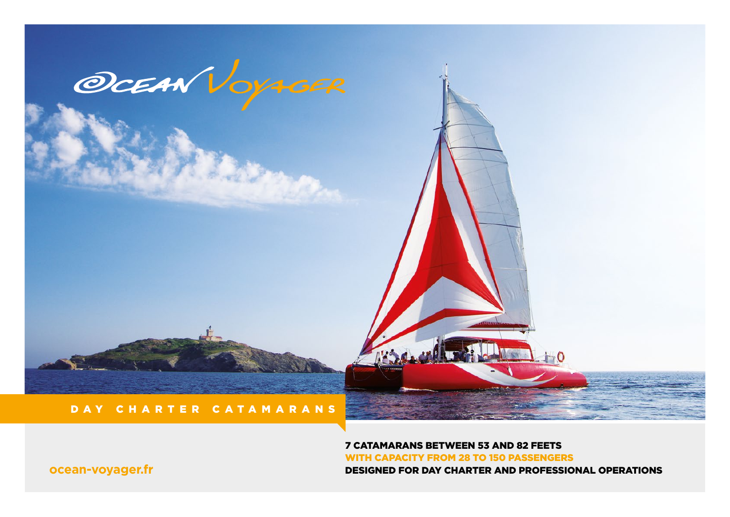

7 CATAMARANS BETWEEN 53 AND 82 FEETS WITH CAPACITY FROM 28 TO 150 PASSENGERS **OCEAN-VOYAGER.fr DESIGNED FOR DAY CHARTER AND PROFESSIONAL OPERATIONS**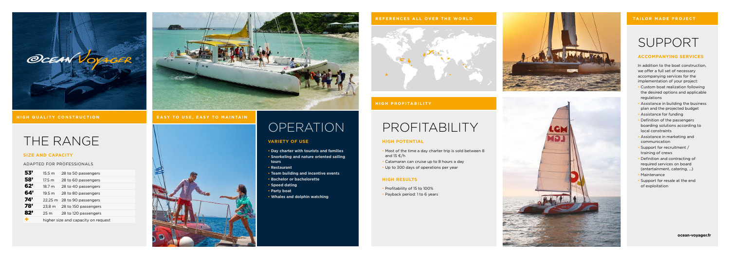## SUPPORT

#### **ACCOMPANYING SERVICES**

In addition to the boat construction, we offer a full set of necessary accompanying services for the implementation of your project:

- Custom boat realization following the desired options and applicable regulations
- Assistance in building the business plan and the projected budget
- Assistance for funding
- Definition of the passengers boarding solutions according to local constraints
- Assistance in marketing and communication
- Support for recruitment / training of crews
- Definition and contracting of required services on board (entertainment, catering, ...)
- Maintenance
- Support for resale at the end of exploitation

# PROFITABILITY

#### **HIGH POTENTIAL**

- Most of the time a day charter trip is sold between 8 and 15  $\epsilon$ /h
- Catamaran can cruise up to 8 hours a day
- Profitability of 15 to 100% • Payback period: 1 to 6 years



- 
- 
- Up to 300 days of operations per year

### **HIGH RESULTS**

- 
- 
- 

### THE RANGE

#### **SIZE AND CAPACITY**

ADAPTED FOR PROFESSIONALS

| 53' | 15.5 m                              | 28 to 50 passengers         |
|-----|-------------------------------------|-----------------------------|
| 58' | $17.5 \text{ m}$                    | 28 to 60 passengers         |
| 62' | 18.7 m                              | 28 to 40 passengers         |
| 64' | 19.5 m                              | 28 to 80 passengers         |
| 74' |                                     | 22.25 m 28 to 90 passengers |
| 78' | 23.8 m                              | 28 to 150 passengers        |
| 82' | 25 m                                | 28 to 120 passengers        |
| ÷   | higher size and capacity on request |                             |



## **OPERATION**

#### **VARIETY OF USE**

- **Day charter with tourists and families**
- **Snorkeling and nature oriented sailing tours**
- **Restaurant**
- **Team building and incentive events**
- **Bachelor or bachelorette**
- **Speed dating**
- **Party boat**
- **Whales and dolphin watching**





#### **TAILOR MADE PROJECT**





#### **HIGH QUALITY CONSTRUCTION EASY TO USE, EASY TO MAINTAIN**

#### **REFERENCES ALL OVER THE WORLD**



### **HIGH PROFITABILITY**